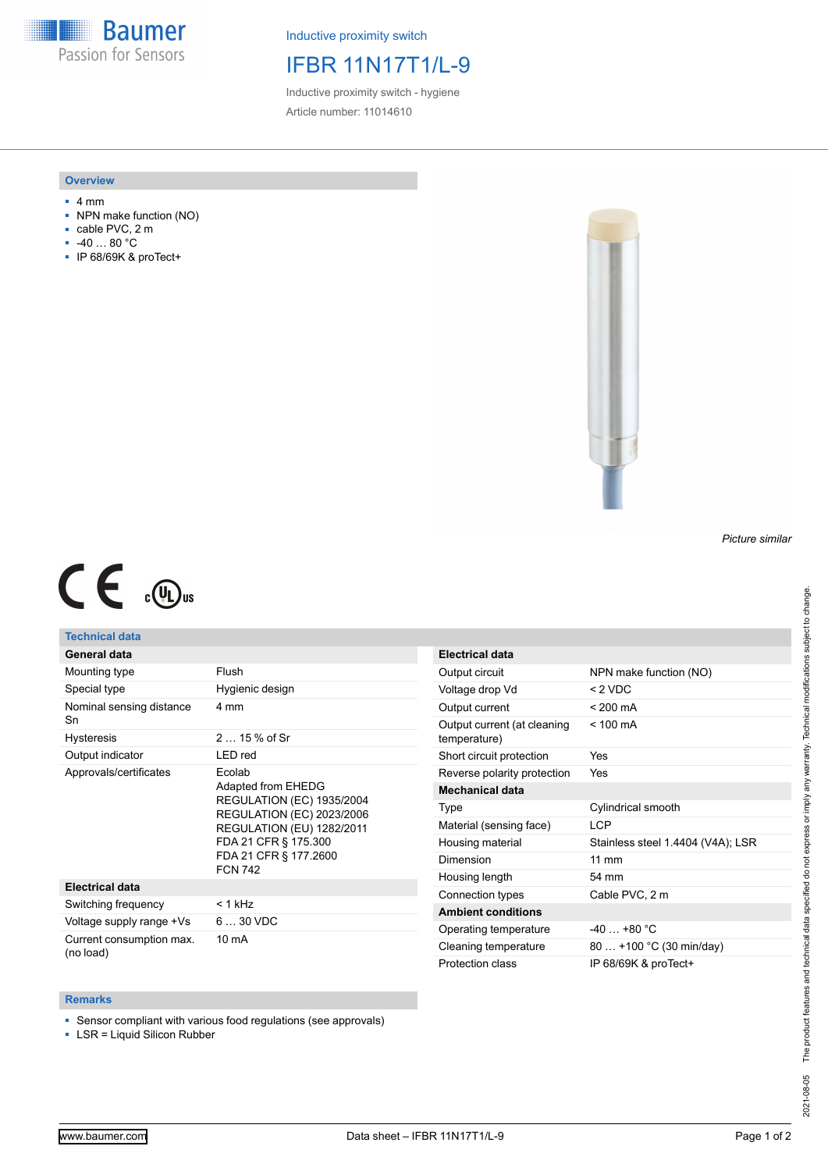**Baumer** Passion for Sensors

Inductive proximity switch

# IFBR 11N17T1/L-9

Inductive proximity switch - hygiene Article number: 11014610

## **Overview**

- 4 mm
- NPN make function (NO)
- cable PVC, 2 m
- -40 … 80 °C
- IP 68/69K & proTect+



### *Picture similar*

# $C \in \mathbb{C}$

## **Technical data**

| General data                          |                                                                                                                                                                                                             |
|---------------------------------------|-------------------------------------------------------------------------------------------------------------------------------------------------------------------------------------------------------------|
| Mounting type                         | Flush                                                                                                                                                                                                       |
| Special type                          | Hygienic design                                                                                                                                                                                             |
| Nominal sensing distance<br>Sn        | 4 mm                                                                                                                                                                                                        |
| Hysteresis                            | $215%$ of Sr                                                                                                                                                                                                |
| Output indicator                      | LED red                                                                                                                                                                                                     |
| Approvals/certificates                | Ecolab<br>Adapted from EHEDG<br><b>REGULATION (EC) 1935/2004</b><br><b>REGULATION (EC) 2023/2006</b><br><b>REGULATION (EU) 1282/2011</b><br>FDA 21 CFR § 175.300<br>FDA 21 CFR § 177.2600<br><b>FCN 742</b> |
| <b>Electrical data</b>                |                                                                                                                                                                                                             |
| Switching frequency                   | $<$ 1 kHz                                                                                                                                                                                                   |
| Voltage supply range +Vs              | $630$ VDC                                                                                                                                                                                                   |
| Current consumption max.<br>(no load) | 10 mA                                                                                                                                                                                                       |

| Electrical data                             |                                   |
|---------------------------------------------|-----------------------------------|
| Output circuit                              | NPN make function (NO)            |
| Voltage drop Vd                             | $<$ 2 VDC                         |
| Output current                              | $< 200 \text{ mA}$                |
| Output current (at cleaning<br>temperature) | $< 100 \text{ mA}$                |
| Short circuit protection                    | Yes                               |
| Reverse polarity protection                 | Yes                               |
| <b>Mechanical data</b>                      |                                   |
| Type                                        | Cylindrical smooth                |
| Material (sensing face)                     | I CP                              |
| Housing material                            | Stainless steel 1.4404 (V4A); LSR |
| Dimension                                   | $11 \text{ mm}$                   |
| Housing length                              | 54 mm                             |
| Connection types                            | Cable PVC, 2 m                    |
| <b>Ambient conditions</b>                   |                                   |
| Operating temperature                       | $-40 + 80 °C$                     |
| Cleaning temperature                        | 80  +100 °C (30 min/day)          |
| Protection class                            | IP 68/69K & proTect+              |

#### **Remarks**

■ Sensor compliant with various food regulations (see approvals)

■ LSR = Liquid Silicon Rubber